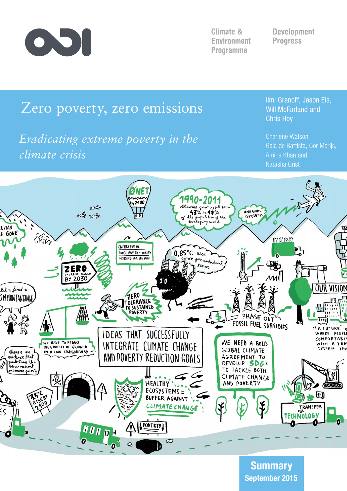

**Climate & Environment Programme** 

**Development Progress** 

# Zero poverty, zero emissions

# *Eradicating extreme poverty in the climate crisis*

Ilmi Granoff, Jason Eis, Will McFarland and Chris Hoy

Charlene Watson, Gaia de Battista, Cor Marijs, Amina Khan and Natasha Grist



September 2015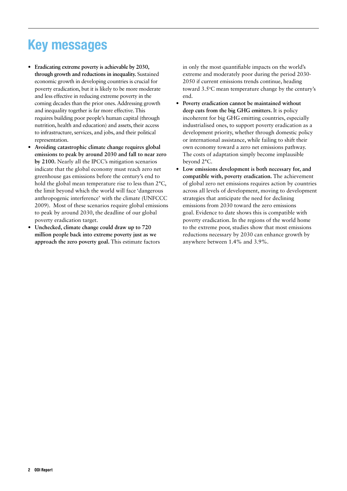# Key messages

- **• Eradicating extreme poverty is achievable by 2030, through growth and reductions in inequality.** Sustained economic growth in developing countries is crucial for poverty eradication, but it is likely to be more moderate and less effective in reducing extreme poverty in the coming decades than the prior ones. Addressing growth and inequality together is far more effective. This requires building poor people's human capital (through nutrition, health and education) and assets, their access to infrastructure, services, and jobs, and their political representation.
- **• Avoiding catastrophic climate change requires global emissions to peak by around 2030 and fall to near zero by 2100.** Nearly all the IPCC's mitigation scenarios indicate that the global economy must reach zero net greenhouse gas emissions before the century's end to hold the global mean temperature rise to less than 2°C, the limit beyond which the world will face 'dangerous anthropogenic interference' with the climate (UNFCCC 2009). Most of these scenarios require global emissions to peak by around 2030, the deadline of our global poverty eradication target.
- **• Unchecked, climate change could draw up to 720 million people back into extreme poverty just as we approach the zero poverty goal.** This estimate factors

in only the most quantifiable impacts on the world's extreme and moderately poor during the period 2030- 2050 if current emissions trends continue, heading toward 3.5°C mean temperature change by the century's end.

- **• Poverty eradication cannot be maintained without deep cuts from the big GHG emitters.** It is policy incoherent for big GHG emitting countries, especially industrialised ones, to support poverty eradication as a development priority, whether through domestic policy or international assistance, while failing to shift their own economy toward a zero net emissions pathway. The costs of adaptation simply become implausible beyond 2°C.
- **• Low emissions development is both necessary for, and compatible with, poverty eradication.** The achievement of global zero net emissions requires action by countries across all levels of development, moving to development strategies that anticipate the need for declining emissions from 2030 toward the zero emissions goal. Evidence to date shows this is compatible with poverty eradication. In the regions of the world home to the extreme poor, studies show that most emissions reductions necessary by 2030 can enhance growth by anywhere between 1.4% and 3.9%.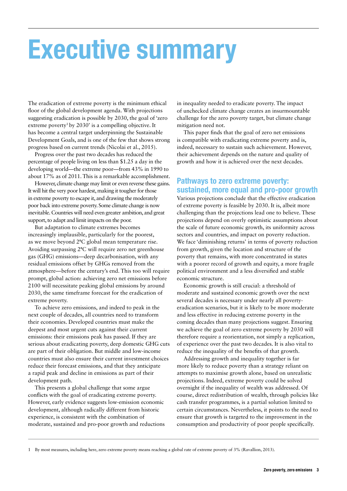# Executive summary

The eradication of extreme poverty is the minimum ethical floor of the global development agenda. With projections suggesting eradication is possible by 2030, the goal of 'zero extreme poverty<sup>1</sup> by 2030' is a compelling objective. It has become a central target underpinning the Sustainable Development Goals, and is one of the few that shows strong progress based on current trends (Nicolai et al., 2015).

Progress over the past two decades has reduced the percentage of people living on less than \$1.25 a day in the developing world—the extreme poor—from 43% in 1990 to about 17% as of 2011. This is a remarkable accomplishment.

However, climate change may limit or even reverse these gains. It will hit the very poor hardest, making it tougher for those in extreme poverty to escape it, and drawing the moderately poor back into extreme poverty. Some climate change is now inevitable. Countries will need even greater ambition, and great support, to adapt and limit impacts on the poor.

But adaptation to climate extremes becomes increasingly implausible, particularly for the poorest, as we move beyond  $2^{\circ}C$  global mean temperature rise. Avoiding surpassing 2°C will require zero net greenhouse gas (GHG) emissions—deep decarbonisation, with any residual emissions offset by GHGs removed from the atmosphere—before the century's end. This too will require prompt, global action: achieving zero net emissions before 2100 will necessitate peaking global emissions by around 2030, the same timeframe forecast for the eradication of extreme poverty.

To achieve zero emissions, and indeed to peak in the next couple of decades, all countries need to transform their economies. Developed countries must make the deepest and most urgent cuts against their current emissions: their emissions peak has passed. If they are serious about eradicating poverty, deep domestic GHG cuts are part of their obligation. But middle and low-income countries must also ensure their current investment choices reduce their forecast emissions, and that they anticipate a rapid peak and decline in emissions as part of their development path.

This presents a global challenge that some argue conflicts with the goal of eradicating extreme poverty. However, early evidence suggests low-emission economic development, although radically different from historic experience, is consistent with the combination of moderate, sustained and pro-poor growth and reductions

in inequality needed to eradicate poverty. The impact of unchecked climate change creates an insurmountable challenge for the zero poverty target, but climate change mitigation need not.

This paper finds that the goal of zero net emissions is compatible with eradicating extreme poverty and is, indeed, necessary to sustain such achievement. However, their achievement depends on the nature and quality of growth and how it is achieved over the next decades.

## Pathways to zero extreme poverty: sustained, more equal and pro-poor growth

Various projections conclude that the effective eradication of extreme poverty is feasible by 2030. It is, albeit more challenging than the projections lead one to believe. These projections depend on overly optimistic assumptions about the scale of future economic growth, its uniformity across sectors and countries, and impact on poverty reduction. We face 'diminishing returns' in terms of poverty reduction from growth, given the location and structure of the poverty that remains, with more concentrated in states with a poorer record of growth and equity, a more fragile political environment and a less diversified and stable economic structure.

Economic growth is still crucial: a threshold of moderate and sustained economic growth over the next several decades is necessary under nearly all povertyeradication scenarios, but it is likely to be more moderate and less effective in reducing extreme poverty in the coming decades than many projections suggest. Ensuring we achieve the goal of zero extreme poverty by 2030 will therefore require a reorientation, not simply a replication, of experience over the past two decades. It is also vital to reduce the inequality of the benefits of that growth.

Addressing growth and inequality together is far more likely to reduce poverty than a strategy reliant on attempts to maximise growth alone, based on unrealistic projections. Indeed, extreme poverty could be solved overnight if the inequality of wealth was addressed. Of course, direct redistribution of wealth, through policies like cash transfer programmes, is a partial solution limited to certain circumstances. Nevertheless, it points to the need to ensure that growth is targeted to the improvement in the consumption and productivity of poor people specifically.

1 By most measures, including here, zero extreme poverty means reaching a global rate of extreme poverty of 3% (Ravallion, 2013).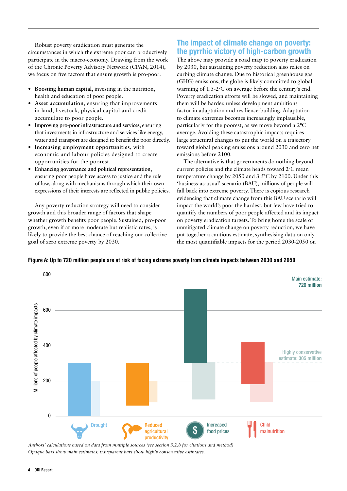Robust poverty eradication must generate the circumstances in which the extreme poor can productively participate in the macro-economy. Drawing from the work of the Chronic Poverty Advisory Network (CPAN, 2014), we focus on five factors that ensure growth is pro-poor:

- **• Boosting human capital**, investing in the nutrition, health and education of poor people.
- **• Asset accumulation**, ensuring that improvements in land, livestock, physical capital and credit accumulate to poor people.
- **• Improving pro-poor infrastructure and services**, ensuring that investments in infrastructure and services like energy, water and transport are designed to benefit the poor directly.
- **• Increasing employment opportunities**, with economic and labour policies designed to create opportunities for the poorest.
- **• Enhancing governance and political representation**, ensuring poor people have access to justice and the rule of law, along with mechanisms through which their own expressions of their interests are reflected in public policies.

Any poverty reduction strategy will need to consider growth and this broader range of factors that shape whether growth benefits poor people. Sustained, pro-poor growth, even if at more moderate but realistic rates, is likely to provide the best chance of reaching our collective goal of zero extreme poverty by 2030. Up to 720 million people are at risk of facing extreme poverty from

## The impact of climate change on poverty: the pyrrhic victory of high-carbon growth

The above may provide a road map to poverty eradication by 2030, but sustaining poverty reduction also relies on curbing climate change. Due to historical greenhouse gas (GHG) emissions, the globe is likely committed to global warming of  $1.5{\text -}2^{\circ}C$  on average before the century's end. Poverty eradication efforts will be slowed, and maintaining them will be harder, unless development ambitions factor in adaptation and resilience-building. Adaptation to climate extremes becomes increasingly implausible, particularly for the poorest, as we move beyond a  $2^{\circ}C$ average. Avoiding these catastrophic impacts requires large structural changes to put the world on a trajectory toward global peaking emissions around 2030 and zero net emissions before 2100.

The alternative is that governments do nothing beyond current policies and the climate heads toward 2°C mean temperature change by  $2050$  and  $3.5$ °C by  $2100$ . Under this 'business-as-usual' scenario (BAU), millions of people will fall back into extreme poverty. There is copious research evidencing that climate change from this BAU scenario will impact the world's poor the hardest, but few have tried to quantify the numbers of poor people affected and its impact on poverty eradication targets. To bring home the scale of unmitigated climate change on poverty reduction, we have put together a cautious estimate, synthesising data on only the most quantifiable impacts for the period 2030-2050 on





*Authors' calculations based on data from multiple sources (see section 3.2.b for citations and method) Opaque bars show main estimates; transparent bars show highly conservative estimates.*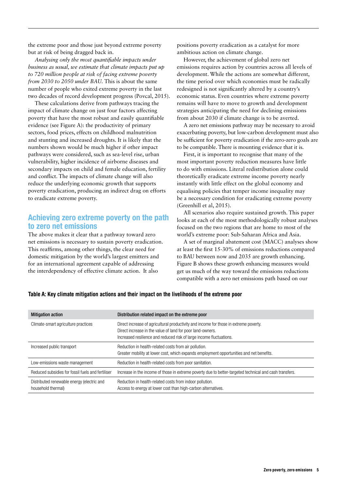the extreme poor and those just beyond extreme poverty but at risk of being dragged back in.

*Analysing only the most quantifiable impacts under business as usual, we estimate that climate impacts put up to 720 million people at risk of facing extreme poverty from 2030 to 2050 under BAU*. This is about the same number of people who exited extreme poverty in the last two decades of record development progress (Povcal, 2015).

These calculations derive from pathways tracing the impact of climate change on just four factors affecting poverty that have the most robust and easily quantifiable evidence (see Figure A): the productivity of primary sectors, food prices, effects on childhood malnutrition and stunting and increased droughts. It is likely that the numbers shown would be much higher if other impact pathways were considered, such as sea-level rise, urban vulnerability, higher incidence of airborne diseases and secondary impacts on child and female education, fertility and conflict. The impacts of climate change will also reduce the underlying economic growth that supports poverty eradication, producing an indirect drag on efforts to eradicate extreme poverty.

### Achieving zero extreme poverty on the path to zero net emissions

The above makes it clear that a pathway toward zero net emissions is necessary to sustain poverty eradication. This reaffirms, among other things, the clear need for domestic mitigation by the world's largest emitters and for an international agreement capable of addressing the interdependency of effective climate action. It also

positions poverty eradication as a catalyst for more ambitious action on climate change.

However, the achievement of global zero net emissions requires action by countries across all levels of development. While the actions are somewhat different, the time period over which economies must be radically redesigned is not significantly altered by a country's economic status. Even countries where extreme poverty remains will have to move to growth and development strategies anticipating the need for declining emissions from about 2030 if climate change is to be averted.

A zero net emissions pathway may be necessary to avoid exacerbating poverty, but low-carbon development must also be sufficient for poverty eradication if the zero-zero goals are to be compatible. There is mounting evidence that it is.

First, it is important to recognise that many of the most important poverty reduction measures have little to do with emissions. Literal redistribution alone could theoretically eradicate extreme income poverty nearly instantly with little effect on the global economy and equalising policies that temper income inequality may be a necessary condition for eradicating extreme poverty (Greenhill et al, 2015).

All scenarios also require sustained growth. This paper looks at each of the most methodologically robust analyses focused on the two regions that are home to most of the world's extreme poor: Sub-Saharan Africa and Asia.

A set of marginal abatement cost (MACC) analyses show at least the first 15-30% of emissions reductions compared to BAU between now and 2035 are growth enhancing. Figure B shows these growth enhancing measures would get us much of the way toward the emissions reductions compatible with a zero net emissions path based on our

#### Table A: Key climate mitigation actions and their impact on the livelihoods of the extreme poor

| <b>Mitigation action</b>                                         | Distribution related impact on the extreme poor                                                                                                                                                                            |
|------------------------------------------------------------------|----------------------------------------------------------------------------------------------------------------------------------------------------------------------------------------------------------------------------|
| Climate-smart agriculture practices                              | Direct increase of agricultural productivity and income for those in extreme poverty.<br>Direct increase in the value of land for poor land-owners.<br>Increased resilience and reduced risk of large income fluctuations. |
| Increased public transport                                       | Reduction in health-related costs from air pollution.<br>Greater mobility at lower cost, which expands employment opportunities and net benefits.                                                                          |
| Low-emissions waste management                                   | Reduction in health-related costs from poor sanitation.                                                                                                                                                                    |
| Reduced subsidies for fossil fuels and fertiliser                | Increase in the income of those in extreme poverty due to better-targeted technical and cash transfers.                                                                                                                    |
| Distributed renewable energy (electric and<br>household thermal) | Reduction in health-related costs from indoor pollution.<br>Access to energy at lower cost than high-carbon alternatives.                                                                                                  |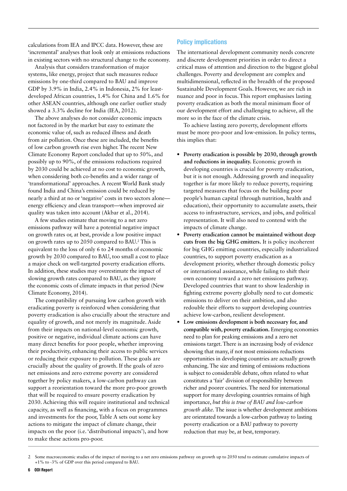calculations from IEA and IPCC data. However, these are 'incremental' analyses that look only at emissions reductions in existing sectors with no structural change to the economy.

Analysis that considers transformation of major systems, like energy, project that such measures reduce emissions by one-third compared to BAU and improve GDP by 3.9% in India, 2.4% in Indonesia, 2% for leastdeveloped African countries, 1.4% for China and 1.6% for other ASEAN countries, although one earlier outlier study showed a 3.3% decline for India (IEA, 2012).

The above analyses do not consider economic impacts not factored in by the market but easy to estimate the economic value of, such as reduced illness and death from air pollution. Once these are included, the benefits of low carbon growth rise even higher. The recent New Climate Economy Report concluded that up to 50%, and possibly up to 90%, of the emissions reductions required by 2030 could be achieved at no cost to economic growth, when considering both co-benefits and a wider range of 'transformational' approaches. A recent World Bank study found India and China's emission could be reduced by nearly a third at no or 'negative' costs in two sectors alone energy efficiency and clean transport—when improved air quality was taken into account (Akbar et al., 2014).

A few studies estimate that moving to a net zero emissions pathway will have a potential negative impact on growth rates or, at best, provide a low positive impact on growth rates up to 2050 compared to BAU.<sup>2</sup> This is equivalent to the loss of only 6 to 24 months of economic growth by 2030 compared to BAU, too small a cost to place a major check on well-targeted poverty eradication efforts. In addition, these studies may overestimate the impact of slowing growth rates compared to BAU, as they ignore the economic costs of climate impacts in that period (New Climate Economy, 2014).

The compatibility of pursuing low carbon growth with eradicating poverty is reinforced when considering that poverty eradication is also crucially about the structure and equality of growth, and not merely its magnitude. Aside from their impacts on national-level economic growth, positive or negative, individual climate actions can have many direct benefits for poor people, whether improving their productivity, enhancing their access to public services or reducing their exposure to pollution. These goals are crucially about the quality of growth. If the goals of zero net emissions and zero extreme poverty are considered together by policy makers, a low-carbon pathway can support a reorientation toward the more pro-poor growth that will be required to ensure poverty eradication by 2030. Achieving this will require institutional and technical capacity, as well as financing, with a focus on programmes and investments for the poor, Table A sets out some key actions to mitigate the impact of climate change, their impacts on the poor (i.e. 'distributional impacts'), and how to make these actions pro-poor.

#### Policy implications

The international development community needs concrete and discrete development priorities in order to direct a critical mass of attention and direction to the biggest global challenges. Poverty and development are complex and multidimensional, reflected in the breadth of the proposed Sustainable Development Goals. However, we are rich in nuance and poor in focus. This report emphasises lasting poverty eradication as both the moral minimum floor of our development effort and challenging to achieve, all the more so in the face of the climate crisis.

To achieve lasting zero poverty, development efforts must be more pro-poor and low-emission. In policy terms, this implies that:

- **• Poverty eradication is possible by 2030, through growth and reductions in inequality.** Economic growth in developing countries is crucial for poverty eradication, but it is not enough. Addressing growth and inequality together is far more likely to reduce poverty, requiring targeted measures that focus on the building poor people's human capital (through nutrition, health and education), their opportunity to accumulate assets, their access to infrastructure, services, and jobs, and political representation. It will also need to contend with the impacts of climate change.
- **• Poverty eradication cannot be maintained without deep cuts from the big GHG emitters.** It is policy incoherent for big GHG emitting countries, especially industrialized countries, to support poverty eradication as a development priority, whether through domestic policy or international assistance, while failing to shift their own economy toward a zero net emissions pathway. Developed countries that want to show leadership in fighting extreme poverty globally need to cut domestic emissions to deliver on their ambition, and also redouble their efforts to support developing countries achieve low-carbon, resilient development.
- **• Low emissions development is both necessary for, and compatible with, poverty eradication.** Emerging economies need to plan for peaking emissions and a zero net emissions target. There is an increasing body of evidence showing that many, if not most emissions reductions opportunities in developing countries are actually growth enhancing. The size and timing of emissions reductions is subject to considerable debate, often related to what constitutes a 'fair' division of responsibility between richer and poorer countries. The need for international support for many developing countries remains of high importance, *but this is true of BAU and low-carbon growth alike.* The issue is whether development ambitions are orientated towards a low-carbon pathway to lasting poverty eradication or a BAU pathway to poverty reduction that may be, at best, temporary.

<sup>2</sup> Some macroeconomic studies of the impact of moving to a net zero emissions pathway on growth up to 2050 tend to estimate cumulative impacts of +1% to -3% of GDP over this period compared to BAU.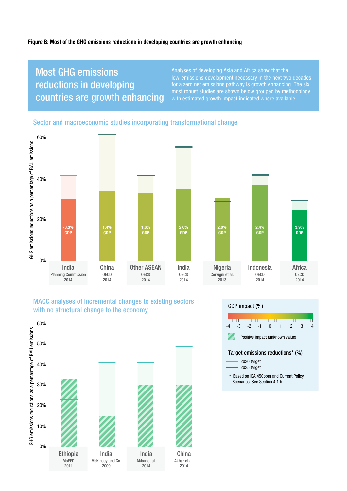#### Figure B: Most of the GHG emissions reductions in developing countries are growth enhancing

## Most GHG emissions reductions in developing countries are growth enhancing

Analyses of developing Asia and Africa show that the low-emissions development necessary in the next two decades for a zero net emissions pathway is growth enhancing. The six most robust studies are shown below grouped by methodology, with estimated growth impact indicated where available.

#### Sector and macroeconomic studies incorporating transformational change



#### MACC analyses of incremental changes to existing sectors with no structural change to the economy